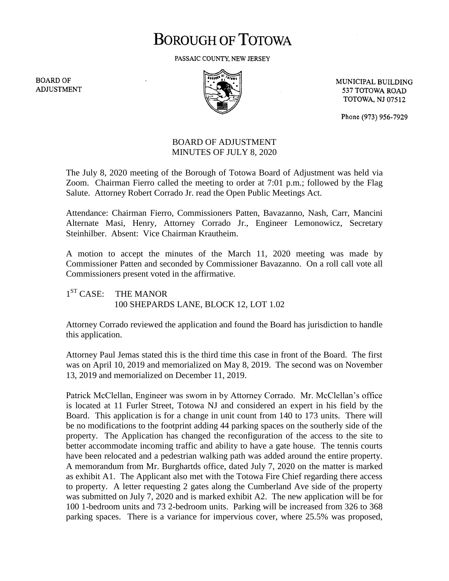## **BOROUGH OF TOTOWA**

PASSAIC COUNTY, NEW JERSEY

**BOARD OF ADJUSTMENT** 



MUNICIPAL BUILDING 537 TOTOWA ROAD **TOTOWA, NJ 07512** 

Phone (973) 956-7929

## BOARD OF ADJUSTMENT MINUTES OF JULY 8, 2020

The July 8, 2020 meeting of the Borough of Totowa Board of Adjustment was held via Zoom. Chairman Fierro called the meeting to order at 7:01 p.m.; followed by the Flag Salute. Attorney Robert Corrado Jr. read the Open Public Meetings Act.

Attendance: Chairman Fierro, Commissioners Patten, Bavazanno, Nash, Carr, Mancini Alternate Masi, Henry, Attorney Corrado Jr., Engineer Lemonowicz, Secretary Steinhilber. Absent: Vice Chairman Krautheim.

A motion to accept the minutes of the March 11, 2020 meeting was made by Commissioner Patten and seconded by Commissioner Bavazanno. On a roll call vote all Commissioners present voted in the affirmative.

 $1<sup>ST</sup>$  CASE: THE MANOR 100 SHEPARDS LANE, BLOCK 12, LOT 1.02

Attorney Corrado reviewed the application and found the Board has jurisdiction to handle this application.

Attorney Paul Jemas stated this is the third time this case in front of the Board. The first was on April 10, 2019 and memorialized on May 8, 2019. The second was on November 13, 2019 and memorialized on December 11, 2019.

Patrick McClellan, Engineer was sworn in by Attorney Corrado. Mr. McClellan's office is located at 11 Furler Street, Totowa NJ and considered an expert in his field by the Board. This application is for a change in unit count from 140 to 173 units. There will be no modifications to the footprint adding 44 parking spaces on the southerly side of the property. The Application has changed the reconfiguration of the access to the site to better accommodate incoming traffic and ability to have a gate house. The tennis courts have been relocated and a pedestrian walking path was added around the entire property. A memorandum from Mr. Burghartds office, dated July 7, 2020 on the matter is marked as exhibit A1. The Applicant also met with the Totowa Fire Chief regarding there access to property. A letter requesting 2 gates along the Cumberland Ave side of the property was submitted on July 7, 2020 and is marked exhibit A2. The new application will be for 100 1-bedroom units and 73 2-bedroom units. Parking will be increased from 326 to 368 parking spaces. There is a variance for impervious cover, where 25.5% was proposed,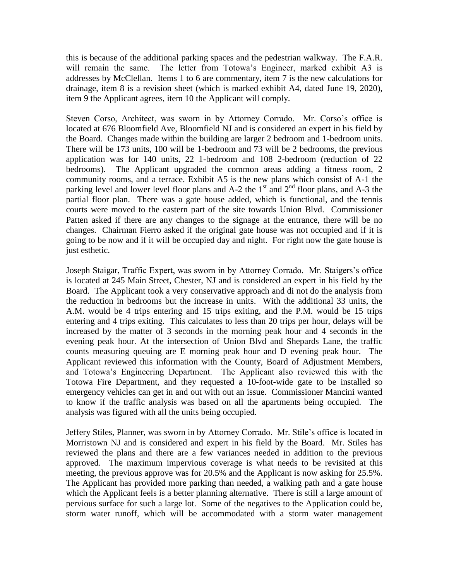this is because of the additional parking spaces and the pedestrian walkway. The F.A.R. will remain the same. The letter from Totowa's Engineer, marked exhibit A3 is addresses by McClellan. Items 1 to 6 are commentary, item 7 is the new calculations for drainage, item 8 is a revision sheet (which is marked exhibit A4, dated June 19, 2020), item 9 the Applicant agrees, item 10 the Applicant will comply.

Steven Corso, Architect, was sworn in by Attorney Corrado. Mr. Corso's office is located at 676 Bloomfield Ave, Bloomfield NJ and is considered an expert in his field by the Board. Changes made within the building are larger 2 bedroom and 1-bedroom units. There will be 173 units, 100 will be 1-bedroom and 73 will be 2 bedrooms, the previous application was for 140 units, 22 1-bedroom and 108 2-bedroom (reduction of 22 bedrooms). The Applicant upgraded the common areas adding a fitness room, 2 community rooms, and a terrace. Exhibit A5 is the new plans which consist of A-1 the parking level and lower level floor plans and A-2 the  $1<sup>st</sup>$  and  $2<sup>nd</sup>$  floor plans, and A-3 the partial floor plan. There was a gate house added, which is functional, and the tennis courts were moved to the eastern part of the site towards Union Blvd. Commissioner Patten asked if there are any changes to the signage at the entrance, there will be no changes. Chairman Fierro asked if the original gate house was not occupied and if it is going to be now and if it will be occupied day and night. For right now the gate house is just esthetic.

Joseph Staigar, Traffic Expert, was sworn in by Attorney Corrado. Mr. Staigers's office is located at 245 Main Street, Chester, NJ and is considered an expert in his field by the Board. The Applicant took a very conservative approach and di not do the analysis from the reduction in bedrooms but the increase in units. With the additional 33 units, the A.M. would be 4 trips entering and 15 trips exiting, and the P.M. would be 15 trips entering and 4 trips exiting. This calculates to less than 20 trips per hour, delays will be increased by the matter of 3 seconds in the morning peak hour and 4 seconds in the evening peak hour. At the intersection of Union Blvd and Shepards Lane, the traffic counts measuring queuing are E morning peak hour and D evening peak hour. The Applicant reviewed this information with the County, Board of Adjustment Members, and Totowa's Engineering Department. The Applicant also reviewed this with the Totowa Fire Department, and they requested a 10-foot-wide gate to be installed so emergency vehicles can get in and out with out an issue. Commissioner Mancini wanted to know if the traffic analysis was based on all the apartments being occupied. The analysis was figured with all the units being occupied.

Jeffery Stiles, Planner, was sworn in by Attorney Corrado. Mr. Stile's office is located in Morristown NJ and is considered and expert in his field by the Board. Mr. Stiles has reviewed the plans and there are a few variances needed in addition to the previous approved. The maximum impervious coverage is what needs to be revisited at this meeting, the previous approve was for 20.5% and the Applicant is now asking for 25.5%. The Applicant has provided more parking than needed, a walking path and a gate house which the Applicant feels is a better planning alternative. There is still a large amount of pervious surface for such a large lot. Some of the negatives to the Application could be, storm water runoff, which will be accommodated with a storm water management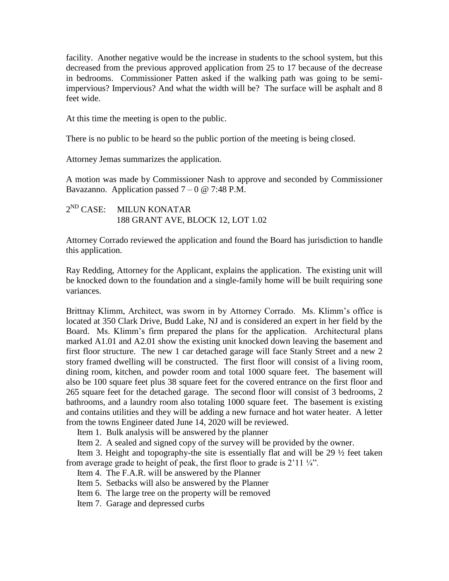facility. Another negative would be the increase in students to the school system, but this decreased from the previous approved application from 25 to 17 because of the decrease in bedrooms. Commissioner Patten asked if the walking path was going to be semiimpervious? Impervious? And what the width will be? The surface will be asphalt and 8 feet wide.

At this time the meeting is open to the public.

There is no public to be heard so the public portion of the meeting is being closed.

Attorney Jemas summarizes the application.

A motion was made by Commissioner Nash to approve and seconded by Commissioner Bavazanno. Application passed  $7 - 0$  @ 7:48 P.M.

 $2^{ND}$  CASE: **MILUN KONATAR** 188 GRANT AVE, BLOCK 12, LOT 1.02

Attorney Corrado reviewed the application and found the Board has jurisdiction to handle this application.

Ray Redding, Attorney for the Applicant, explains the application. The existing unit will be knocked down to the foundation and a single-family home will be built requiring sone variances.

Brittnay Klimm, Architect, was sworn in by Attorney Corrado. Ms. Klimm's office is located at 350 Clark Drive, Budd Lake, NJ and is considered an expert in her field by the Board. Ms. Klimm's firm prepared the plans for the application. Architectural plans marked A1.01 and A2.01 show the existing unit knocked down leaving the basement and first floor structure. The new 1 car detached garage will face Stanly Street and a new 2 story framed dwelling will be constructed. The first floor will consist of a living room, dining room, kitchen, and powder room and total 1000 square feet. The basement will also be 100 square feet plus 38 square feet for the covered entrance on the first floor and 265 square feet for the detached garage. The second floor will consist of 3 bedrooms, 2 bathrooms, and a laundry room also totaling 1000 square feet. The basement is existing and contains utilities and they will be adding a new furnace and hot water heater. A letter from the towns Engineer dated June 14, 2020 will be reviewed.

Item 1. Bulk analysis will be answered by the planner

Item 2. A sealed and signed copy of the survey will be provided by the owner.

 Item 3. Height and topography-the site is essentially flat and will be 29 ½ feet taken from average grade to height of peak, the first floor to grade is 2'11 ¼".

Item 4. The F.A.R. will be answered by the Planner

Item 5. Setbacks will also be answered by the Planner

Item 6. The large tree on the property will be removed

Item 7. Garage and depressed curbs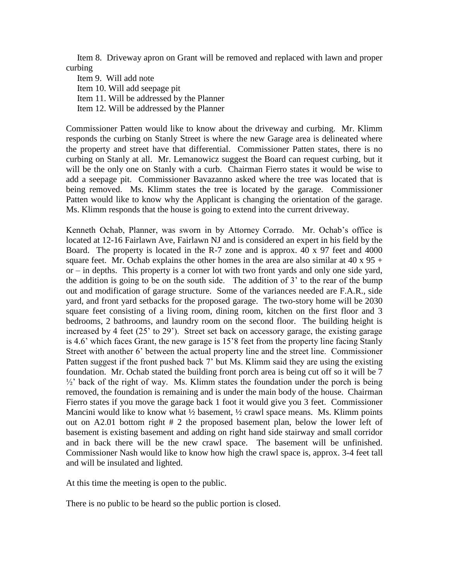Item 8. Driveway apron on Grant will be removed and replaced with lawn and proper curbing

 Item 9. Will add note Item 10. Will add seepage pit Item 11. Will be addressed by the Planner Item 12. Will be addressed by the Planner

Commissioner Patten would like to know about the driveway and curbing. Mr. Klimm responds the curbing on Stanly Street is where the new Garage area is delineated where the property and street have that differential. Commissioner Patten states, there is no curbing on Stanly at all. Mr. Lemanowicz suggest the Board can request curbing, but it will be the only one on Stanly with a curb. Chairman Fierro states it would be wise to add a seepage pit. Commissioner Bavazanno asked where the tree was located that is being removed. Ms. Klimm states the tree is located by the garage. Commissioner Patten would like to know why the Applicant is changing the orientation of the garage. Ms. Klimm responds that the house is going to extend into the current driveway.

Kenneth Ochab, Planner, was sworn in by Attorney Corrado. Mr. Ochab's office is located at 12-16 Fairlawn Ave, Fairlawn NJ and is considered an expert in his field by the Board. The property is located in the R-7 zone and is approx. 40 x 97 feet and 4000 square feet. Mr. Ochab explains the other homes in the area are also similar at 40 x  $95 +$ or – in depths. This property is a corner lot with two front yards and only one side yard, the addition is going to be on the south side. The addition of 3' to the rear of the bump out and modification of garage structure. Some of the variances needed are F.A.R., side yard, and front yard setbacks for the proposed garage. The two-story home will be 2030 square feet consisting of a living room, dining room, kitchen on the first floor and 3 bedrooms, 2 bathrooms, and laundry room on the second floor. The building height is increased by 4 feet (25' to 29'). Street set back on accessory garage, the existing garage is 4.6' which faces Grant, the new garage is 15'8 feet from the property line facing Stanly Street with another 6' between the actual property line and the street line. Commissioner Patten suggest if the front pushed back 7' but Ms. Klimm said they are using the existing foundation. Mr. Ochab stated the building front porch area is being cut off so it will be 7  $\frac{1}{2}$  back of the right of way. Ms. Klimm states the foundation under the porch is being removed, the foundation is remaining and is under the main body of the house. Chairman Fierro states if you move the garage back 1 foot it would give you 3 feet. Commissioner Mancini would like to know what  $\frac{1}{2}$  basement,  $\frac{1}{2}$  crawl space means. Ms. Klimm points out on A2.01 bottom right # 2 the proposed basement plan, below the lower left of basement is existing basement and adding on right hand side stairway and small corridor and in back there will be the new crawl space. The basement will be unfinished. Commissioner Nash would like to know how high the crawl space is, approx. 3-4 feet tall and will be insulated and lighted.

At this time the meeting is open to the public.

There is no public to be heard so the public portion is closed.